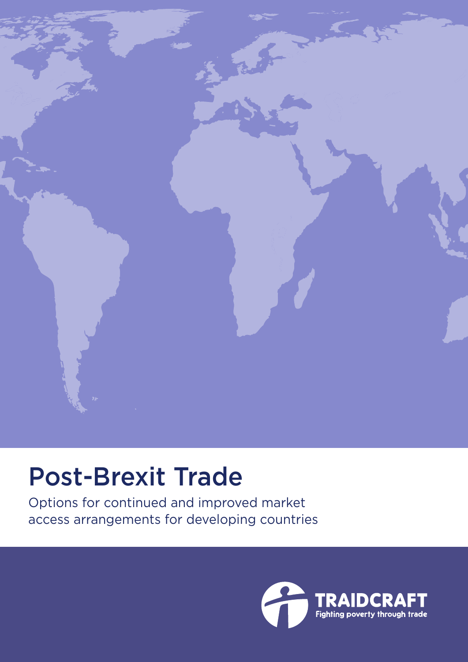

# Post-Brexit Trade

Options for continued and improved market access arrangements for developing countries

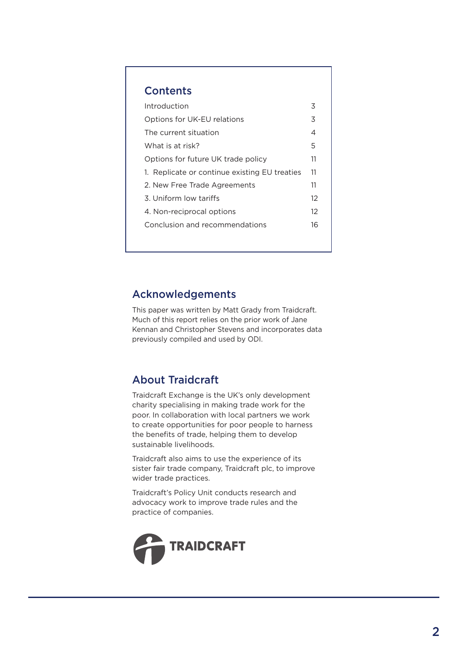### **Contents**

| Introduction                                  | 3        |
|-----------------------------------------------|----------|
| Options for UK-EU relations                   | 3        |
| The current situation                         | 4        |
| What is at risk?                              | 5        |
| Options for future UK trade policy            | 11       |
| 1. Replicate or continue existing EU treaties | 11       |
| 2. New Free Trade Agreements                  | 11       |
| 3. Uniform low tariffs                        | $12^{1}$ |
| 4. Non-reciprocal options                     | 12       |
| Conclusion and recommendations                | 16       |
|                                               |          |

# Acknowledgements

This paper was written by Matt Grady from Traidcraft. Much of this report relies on the prior work of Jane Kennan and Christopher Stevens and incorporates data previously compiled and used by ODI.

# About Traidcraft

Traidcraft Exchange is the UK's only development charity specialising in making trade work for the poor. In collaboration with local partners we work to create opportunities for poor people to harness the benefits of trade, helping them to develop sustainable livelihoods.

Traidcraft also aims to use the experience of its sister fair trade company, Traidcraft plc, to improve wider trade practices.

Traidcraft's Policy Unit conducts research and advocacy work to improve trade rules and the practice of companies.

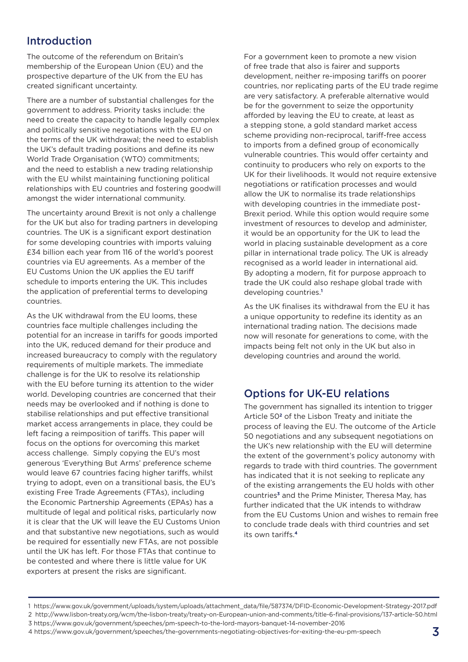# Introduction

The outcome of the referendum on Britain's membership of the European Union (EU) and the prospective departure of the UK from the EU has created significant uncertainty.

There are a number of substantial challenges for the government to address. Priority tasks include: the need to create the capacity to handle legally complex and politically sensitive negotiations with the EU on the terms of the UK withdrawal; the need to establish the UK's default trading positions and define its new World Trade Organisation (WTO) commitments; and the need to establish a new trading relationship with the EU whilst maintaining functioning political relationships with EU countries and fostering goodwill amongst the wider international community.

The uncertainty around Brexit is not only a challenge for the UK but also for trading partners in developing countries. The UK is a significant export destination for some developing countries with imports valuing £34 billion each year from 116 of the world's poorest countries via EU agreements. As a member of the EU Customs Union the UK applies the EU tariff schedule to imports entering the UK. This includes the application of preferential terms to developing countries.

As the UK withdrawal from the EU looms, these countries face multiple challenges including the potential for an increase in tariffs for goods imported into the UK, reduced demand for their produce and increased bureaucracy to comply with the regulatory requirements of multiple markets. The immediate challenge is for the UK to resolve its relationship with the EU before turning its attention to the wider world. Developing countries are concerned that their needs may be overlooked and if nothing is done to stabilise relationships and put effective transitional market access arrangements in place, they could be left facing a reimposition of tariffs. This paper will focus on the options for overcoming this market access challenge. Simply copying the EU's most generous 'Everything But Arms' preference scheme would leave 67 countries facing higher tariffs, whilst trying to adopt, even on a transitional basis, the EU's existing Free Trade Agreements (FTAs), including the Economic Partnership Agreements (EPAs) has a multitude of legal and political risks, particularly now it is clear that the UK will leave the EU Customs Union and that substantive new negotiations, such as would be required for essentially new FTAs, are not possible until the UK has left. For those FTAs that continue to be contested and where there is little value for UK exporters at present the risks are significant.

For a government keen to promote a new vision of free trade that also is fairer and supports development, neither re-imposing tariffs on poorer countries, nor replicating parts of the EU trade regime are very satisfactory. A preferable alternative would be for the government to seize the opportunity afforded by leaving the EU to create, at least as a stepping stone, a gold standard market access scheme providing non-reciprocal, tariff-free access to imports from a defined group of economically vulnerable countries. This would offer certainty and continuity to producers who rely on exports to the UK for their livelihoods. It would not require extensive negotiations or ratification processes and would allow the UK to normalise its trade relationships with developing countries in the immediate post-Brexit period. While this option would require some investment of resources to develop and administer, it would be an opportunity for the UK to lead the world in placing sustainable development as a core pillar in international trade policy. The UK is already recognised as a world leader in international aid. By adopting a modern, fit for purpose approach to trade the UK could also reshape global trade with developing countries.**<sup>1</sup>**

As the UK finalises its withdrawal from the EU it has a unique opportunity to redefine its identity as an international trading nation. The decisions made now will resonate for generations to come, with the impacts being felt not only in the UK but also in developing countries and around the world.

### Options for UK-EU relations

The government has signalled its intention to trigger Article 50**2** of the Lisbon Treaty and initiate the process of leaving the EU. The outcome of the Article 50 negotiations and any subsequent negotiations on the UK's new relationship with the EU will determine the extent of the government's policy autonomy with regards to trade with third countries. The government has indicated that it is not seeking to replicate any of the existing arrangements the EU holds with other countries**3** and the Prime Minister, Theresa May, has further indicated that the UK intends to withdraw from the EU Customs Union and wishes to remain free to conclude trade deals with third countries and set its own tariffs.**<sup>4</sup>**

<sup>1</sup> https://www.gov.uk/government/uploads/system/uploads/attachment\_data/file/587374/DFID-Economic-Development-Strategy-2017.pdf 2 http://www.lisbon-treaty.org/wcm/the-lisbon-treaty/treaty-on-European-union-and-comments/title-6-final-provisions/137-article-50.html 3 https://www.gov.uk/government/speeches/pm-speech-to-the-lord-mayors-banquet-14-november-2016

<sup>4</sup> https://www.gov.uk/government/speeches/the-governments-negotiating-objectives-for-exiting-the-eu-pm-speech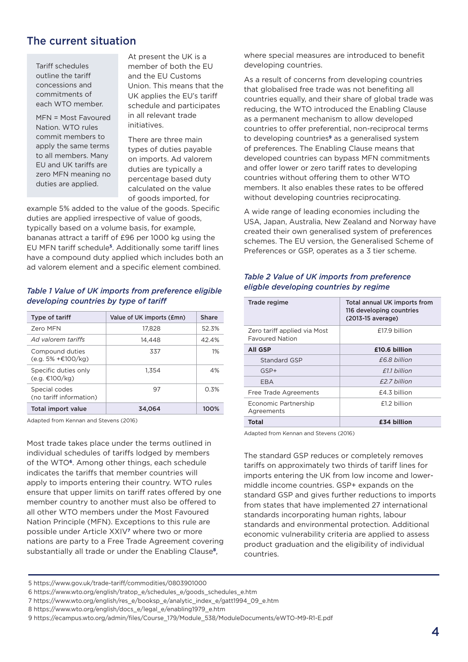### The current situation

Tariff schedules outline the tariff concessions and commitments of each WTO member.

MFN = Most Favoured Nation. WTO rules commit members to apply the same terms to all members. Many EU and UK tariffs are zero MFN meaning no duties are applied.

At present the UK is a member of both the EU and the EU Customs Union. This means that the UK applies the EU's tariff schedule and participates in all relevant trade initiatives.

There are three main types of duties payable on imports. Ad valorem duties are typically a percentage based duty calculated on the value of goods imported, for

example 5% added to the value of the goods. Specific duties are applied irrespective of value of goods, typically based on a volume basis, for example, bananas attract a tariff of £96 per 1000 kg using the EU MFN tariff schedule**5**. Additionally some tariff lines have a compound duty applied which includes both an ad valorem element and a specific element combined.

#### *Table 1 Value of UK imports from preference eligible developing countries by type of tariff*

| Type of tariff                           | Value of UK imports (£mn) | Share |
|------------------------------------------|---------------------------|-------|
| <b>Zero MFN</b>                          | 17,828                    | 52.3% |
| Ad valorem tariffs                       | 14.448                    | 42.4% |
| Compound duties<br>$(e.g. 5% + €100/kg)$ | 337                       | 1%    |
| Specific duties only<br>(e.g. €100/kg)   | 1.354                     | 4%    |
| Special codes<br>(no tariff information) | 97                        | 0.3%  |
| Total import value                       | 34.064                    | 100%  |

Adapted from Kennan and Stevens (2016)

Most trade takes place under the terms outlined in individual schedules of tariffs lodged by members of the WTO**6**. Among other things, each schedule indicates the tariffs that member countries will apply to imports entering their country. WTO rules ensure that upper limits on tariff rates offered by one member country to another must also be offered to all other WTO members under the Most Favoured Nation Principle (MFN). Exceptions to this rule are possible under Article XXIV**7** where two or more nations are party to a Free Trade Agreement covering substantially all trade or under the Enabling Clause**8**,

where special measures are introduced to benefit developing countries.

As a result of concerns from developing countries that globalised free trade was not benefiting all countries equally, and their share of global trade was reducing, the WTO introduced the Enabling Clause as a permanent mechanism to allow developed countries to offer preferential, non-reciprocal terms to developing countries**9** as a generalised system of preferences. The Enabling Clause means that developed countries can bypass MFN commitments and offer lower or zero tariff rates to developing countries without offering them to other WTO members. It also enables these rates to be offered without developing countries reciprocating.

A wide range of leading economies including the USA, Japan, Australia, New Zealand and Norway have created their own generalised system of preferences schemes. The EU version, the Generalised Scheme of Preferences or GSP, operates as a 3 tier scheme.

#### *Table 2 Value of UK imports from preference eligble developing countries by regime*

| Trade regime                                           | Total annual UK imports from<br>116 developing countries<br>(2013-15 average) |
|--------------------------------------------------------|-------------------------------------------------------------------------------|
| Zero tariff applied via Most<br><b>Favoured Nation</b> | £17.9 billion                                                                 |
| All GSP                                                | £10.6 billion                                                                 |
| Standard GSP                                           | F6.8 billion                                                                  |
| GSP+                                                   | f11 billion                                                                   |
| EBA                                                    | £2.7 billion                                                                  |
| Free Trade Agreements                                  | $£4.3$ billion                                                                |
| Economic Partnership<br>Agreements                     | £1.2 billion                                                                  |
| <b>Total</b>                                           | £34 billion                                                                   |

Adapted from Kennan and Stevens (2016)

The standard GSP reduces or completely removes tariffs on approximately two thirds of tariff lines for imports entering the UK from low income and lowermiddle income countries. GSP+ expands on the standard GSP and gives further reductions to imports from states that have implemented 27 international standards incorporating human rights, labour standards and environmental protection. Additional economic vulnerability criteria are applied to assess product graduation and the eligibility of individual countries.

<sup>5</sup> https://www.gov.uk/trade-tariff/commodities/0803901000

<sup>6</sup> https://www.wto.org/english/tratop\_e/schedules\_e/goods\_schedules\_e.htm

<sup>7</sup> https://www.wto.org/english/res\_e/booksp\_e/analytic\_index\_e/gatt1994\_09\_e.htm

<sup>8</sup> https://www.wto.org/english/docs\_e/legal\_e/enabling1979\_e.htm

<sup>9</sup> https://ecampus.wto.org/admin/files/Course\_179/Module\_538/ModuleDocuments/eWTO-M9-R1-E.pdf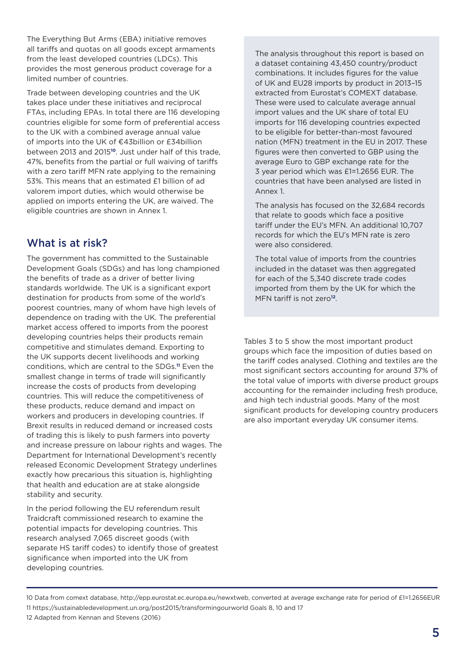The Everything But Arms (EBA) initiative removes all tariffs and quotas on all goods except armaments from the least developed countries (LDCs). This provides the most generous product coverage for a limited number of countries.

Trade between developing countries and the UK takes place under these initiatives and reciprocal FTAs, including EPAs. In total there are 116 developing countries eligible for some form of preferential access to the UK with a combined average annual value of imports into the UK of €43billion or £34billion between 2013 and 2015**10**. Just under half of this trade, 47%, benefits from the partial or full waiving of tariffs with a zero tariff MFN rate applying to the remaining 53%. This means that an estimated £1 billion of ad valorem import duties, which would otherwise be applied on imports entering the UK, are waived. The eligible countries are shown in Annex 1.

# What is at risk?

The government has committed to the Sustainable Development Goals (SDGs) and has long championed the benefits of trade as a driver of better living standards worldwide. The UK is a significant export destination for products from some of the world's poorest countries, many of whom have high levels of dependence on trading with the UK. The preferential market access offered to imports from the poorest developing countries helps their products remain competitive and stimulates demand. Exporting to the UK supports decent livelihoods and working conditions, which are central to the SDGs.**11** Even the smallest change in terms of trade will significantly increase the costs of products from developing countries. This will reduce the competitiveness of these products, reduce demand and impact on workers and producers in developing countries. If Brexit results in reduced demand or increased costs of trading this is likely to push farmers into poverty and increase pressure on labour rights and wages. The Department for International Development's recently released Economic Development Strategy underlines exactly how precarious this situation is, highlighting that health and education are at stake alongside stability and security.

In the period following the EU referendum result Traidcraft commissioned research to examine the potential impacts for developing countries. This research analysed 7,065 discreet goods (with separate HS tariff codes) to identify those of greatest significance when imported into the UK from developing countries.

The analysis throughout this report is based on a dataset containing 43,450 country/product combinations. It includes figures for the value of UK and EU28 imports by product in 2013–15 extracted from Eurostat's COMEXT database. These were used to calculate average annual import values and the UK share of total EU imports for 116 developing countries expected to be eligible for better-than-most favoured nation (MFN) treatment in the EU in 2017. These figures were then converted to GBP using the average Euro to GBP exchange rate for the 3 year period which was £1=1.2656 EUR. The countries that have been analysed are listed in Annex 1.

The analysis has focused on the 32,684 records that relate to goods which face a positive tariff under the EU's MFN. An additional 10,707 records for which the EU's MFN rate is zero were also considered.

The total value of imports from the countries included in the dataset was then aggregated for each of the 5,340 discrete trade codes imported from them by the UK for which the MFN tariff is not zero**12**.

Tables 3 to 5 show the most important product groups which face the imposition of duties based on the tariff codes analysed. Clothing and textiles are the most significant sectors accounting for around 37% of the total value of imports with diverse product groups accounting for the remainder including fresh produce, and high tech industrial goods. Many of the most significant products for developing country producers are also important everyday UK consumer items.

<sup>10</sup> Data from comext database, http://epp.eurostat.ec.europa.eu/newxtweb, converted at average exchange rate for period of £1=1.2656EUR 11 https://sustainabledevelopment.un.org/post2015/transformingourworld Goals 8, 10 and 17 12 Adapted from Kennan and Stevens (2016)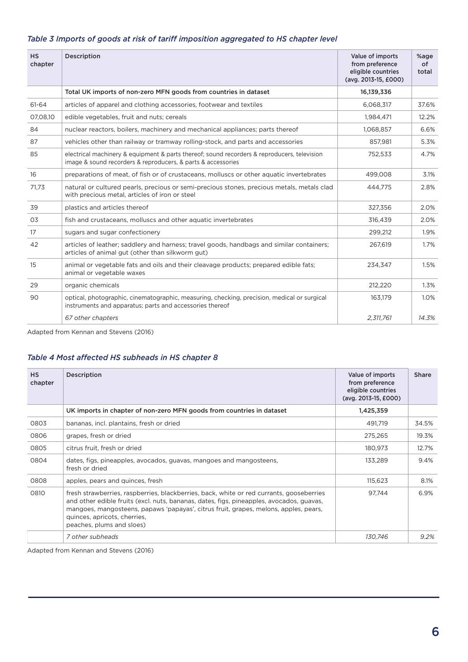| Table 3 Imports of goods at risk of tariff imposition aggregated to HS chapter level |  |  |
|--------------------------------------------------------------------------------------|--|--|
|--------------------------------------------------------------------------------------|--|--|

| <b>HS</b><br>chapter | Description                                                                                                                                                 | Value of imports<br>from preference<br>eligible countries<br>(avg. 2013-15, £000) | %age<br>of<br>total |
|----------------------|-------------------------------------------------------------------------------------------------------------------------------------------------------------|-----------------------------------------------------------------------------------|---------------------|
|                      | Total UK imports of non-zero MFN goods from countries in dataset                                                                                            | 16,139,336                                                                        |                     |
| 61-64                | articles of apparel and clothing accessories, footwear and textiles                                                                                         | 6,068,317                                                                         | 37.6%               |
| 07,08,10             | edible vegetables, fruit and nuts; cereals                                                                                                                  | 1,984,471                                                                         | 12.2%               |
| 84                   | nuclear reactors, boilers, machinery and mechanical appliances; parts thereof                                                                               | 1,068,857                                                                         | 6.6%                |
| 87                   | vehicles other than railway or tramway rolling-stock, and parts and accessories                                                                             | 857,981                                                                           | 5.3%                |
| 85                   | electrical machinery & equipment & parts thereof; sound recorders & reproducers, television<br>image & sound recorders & reproducers, & parts & accessories | 752,533                                                                           | 4.7%                |
| 16                   | preparations of meat, of fish or of crustaceans, molluscs or other aquatic invertebrates                                                                    | 499,008                                                                           | 3.1%                |
| 71,73                | natural or cultured pearls, precious or semi-precious stones, precious metals, metals clad<br>with precious metal, articles of iron or steel                | 444.775                                                                           | 2.8%                |
| 39                   | plastics and articles thereof                                                                                                                               | 327,356                                                                           | 2.0%                |
| O <sub>3</sub>       | fish and crustaceans, molluscs and other aquatic invertebrates                                                                                              | 316,439                                                                           | 2.0%                |
| 17                   | sugars and sugar confectionery                                                                                                                              | 299,212                                                                           | 1.9%                |
| 42                   | articles of leather; saddlery and harness; travel goods, handbags and similar containers;<br>articles of animal gut (other than silkworm gut)               | 267,619                                                                           | 1.7%                |
| 15                   | animal or vegetable fats and oils and their cleavage products; prepared edible fats;<br>animal or vegetable waxes                                           | 234.347                                                                           | 1.5%                |
| 29                   | organic chemicals                                                                                                                                           | 212,220                                                                           | 1.3%                |
| 90                   | optical, photographic, cinematographic, measuring, checking, precision, medical or surgical<br>instruments and apparatus; parts and accessories thereof     | 163,179                                                                           | 1.0%                |
|                      | 67 other chapters                                                                                                                                           | 2,311,761                                                                         | 14.3%               |

Adapted from Kennan and Stevens (2016)

#### *Table 4 Most affected HS subheads in HS chapter 8*

| <b>HS</b><br>chapter | Description                                                                                                                                                                                                                                                                                                                               | Value of imports<br>from preference<br>eligible countries<br>(avg. 2013-15, £000) | <b>Share</b> |
|----------------------|-------------------------------------------------------------------------------------------------------------------------------------------------------------------------------------------------------------------------------------------------------------------------------------------------------------------------------------------|-----------------------------------------------------------------------------------|--------------|
|                      | UK imports in chapter of non-zero MFN goods from countries in dataset                                                                                                                                                                                                                                                                     | 1,425,359                                                                         |              |
| 0803                 | bananas, incl. plantains, fresh or dried                                                                                                                                                                                                                                                                                                  | 491.719                                                                           | 34.5%        |
| 0806                 | grapes, fresh or dried                                                                                                                                                                                                                                                                                                                    | 275,265                                                                           | 19.3%        |
| 0805                 | citrus fruit, fresh or dried                                                                                                                                                                                                                                                                                                              | 180,973                                                                           | 12.7%        |
| 0804                 | dates, figs, pineapples, avocados, guavas, mangoes and mangosteens,<br>fresh or dried                                                                                                                                                                                                                                                     | 133,289                                                                           | 9.4%         |
| 0808                 | apples, pears and quinces, fresh                                                                                                                                                                                                                                                                                                          | 115,623                                                                           | 8.1%         |
| 0810                 | fresh strawberries, raspberries, blackberries, back, white or red currants, gooseberries<br>and other edible fruits (excl. nuts, bananas, dates, figs, pineapples, avocados, guavas,<br>mangoes, mangosteens, papaws 'papayas', citrus fruit, grapes, melons, apples, pears,<br>quinces, apricots, cherries,<br>peaches, plums and sloes) | 97,744                                                                            | 6.9%         |
|                      | 7 other subheads                                                                                                                                                                                                                                                                                                                          | 130.746                                                                           | $9.2\%$      |

Adapted from Kennan and Stevens (2016)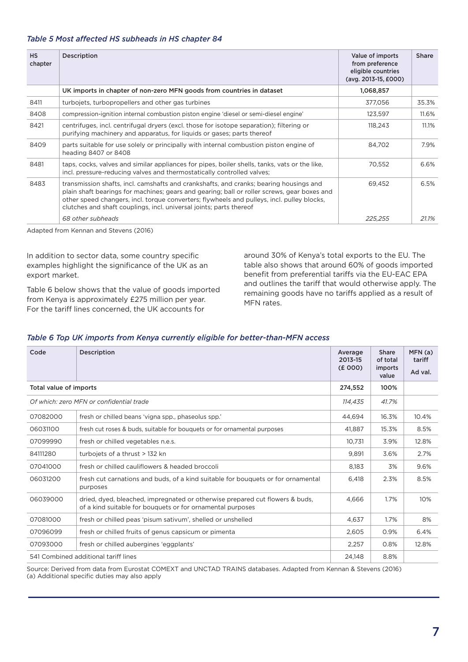#### *Table 5 Most affected HS subheads in HS chapter 84*

| <b>HS</b><br>chapter | Description                                                                                                                                                                                                                                                                                                                                                | Value of imports<br>from preference<br>eligible countries<br>(avg. 2013-15, £000) | <b>Share</b> |
|----------------------|------------------------------------------------------------------------------------------------------------------------------------------------------------------------------------------------------------------------------------------------------------------------------------------------------------------------------------------------------------|-----------------------------------------------------------------------------------|--------------|
|                      | UK imports in chapter of non-zero MFN goods from countries in dataset                                                                                                                                                                                                                                                                                      | 1,068,857                                                                         |              |
| 8411                 | turbojets, turbopropellers and other gas turbines                                                                                                                                                                                                                                                                                                          | 377,056                                                                           | 35.3%        |
| 8408                 | compression-ignition internal combustion piston engine 'diesel or semi-diesel engine'                                                                                                                                                                                                                                                                      | 123,597                                                                           | 11.6%        |
| 8421                 | centrifuges, incl. centrifugal dryers (excl. those for isotope separation); filtering or<br>purifying machinery and apparatus, for liquids or gases; parts thereof                                                                                                                                                                                         | 118,243                                                                           | 11.1%        |
| 8409                 | parts suitable for use solely or principally with internal combustion piston engine of<br>heading 8407 or 8408                                                                                                                                                                                                                                             | 84,702                                                                            | 7.9%         |
| 8481                 | taps, cocks, valves and similar appliances for pipes, boiler shells, tanks, vats or the like,<br>incl. pressure-reducing valves and thermostatically controlled valves;                                                                                                                                                                                    | 70,552                                                                            | 6.6%         |
| 8483                 | transmission shafts, incl. camshafts and crankshafts, and cranks; bearing housings and<br>plain shaft bearings for machines; gears and gearing; ball or roller screws, gear boxes and<br>other speed changers, incl. torque converters; flywheels and pulleys, incl. pulley blocks,<br>clutches and shaft couplings, incl. universal joints; parts thereof | 69,452                                                                            | 6.5%         |
|                      | 68 other subheads                                                                                                                                                                                                                                                                                                                                          | 225,255                                                                           | 21.1%        |

Adapted from Kennan and Stevens (2016)

In addition to sector data, some country specific examples highlight the significance of the UK as an export market.

Table 6 below shows that the value of goods imported from Kenya is approximately £275 million per year. For the tariff lines concerned, the UK accounts for

around 30% of Kenya's total exports to the EU. The table also shows that around 60% of goods imported benefit from preferential tariffs via the EU-EAC EPA and outlines the tariff that would otherwise apply. The remaining goods have no tariffs applied as a result of MFN rates.

#### *Table 6 Top UK imports from Kenya currently eligible for better-than-MFN access*

| Code                   | Description                                                                                                                                | Average<br>2013-15<br>(E000) | <b>Share</b><br>of total<br>imports<br>value | MFN (a)<br>tariff<br>Ad val. |
|------------------------|--------------------------------------------------------------------------------------------------------------------------------------------|------------------------------|----------------------------------------------|------------------------------|
| Total value of imports |                                                                                                                                            | 274,552                      | 100%                                         |                              |
|                        | Of which: zero MFN or confidential trade                                                                                                   | 114.435                      | 41.7%                                        |                              |
| 07082000               | fresh or chilled beans 'vigna spp., phaseolus spp.'                                                                                        | 44.694                       | 16.3%                                        | 10.4%                        |
| 06031100               | fresh cut roses & buds, suitable for bouquets or for ornamental purposes                                                                   | 41.887                       | 15.3%                                        | 8.5%                         |
| 07099990               | fresh or chilled vegetables n.e.s.                                                                                                         | 10,731                       | 3.9%                                         | 12.8%                        |
| 84111280               | turbojets of a thrust > 132 kn                                                                                                             | 9,891                        | 3.6%                                         | 2.7%                         |
| 07041000               | fresh or chilled cauliflowers & headed broccoli                                                                                            | 8.183                        | 3%                                           | 9.6%                         |
| 06031200               | fresh cut carnations and buds, of a kind suitable for bouquets or for ornamental<br>purposes                                               | 6.418                        | 2.3%                                         | 8.5%                         |
| 06039000               | dried, dyed, bleached, impregnated or otherwise prepared cut flowers & buds,<br>of a kind suitable for bouquets or for ornamental purposes | 4.666                        | 1.7%                                         | 10%                          |
| 07081000               | fresh or chilled peas 'pisum sativum', shelled or unshelled                                                                                | 4.637                        | 1.7%                                         | 8%                           |
| 07096099               | fresh or chilled fruits of genus capsicum or pimenta                                                                                       | 2.605                        | 0.9%                                         | 6.4%                         |
| 07093000               | fresh or chilled aubergines 'eggplants'                                                                                                    | 2.257                        | 0.8%                                         | 12.8%                        |
|                        | 541 Combined additional tariff lines                                                                                                       | 24.148                       | 8.8%                                         |                              |

Source: Derived from data from Eurostat COMEXT and UNCTAD TRAINS databases. Adapted from Kennan & Stevens (2016) (a) Additional specific duties may also apply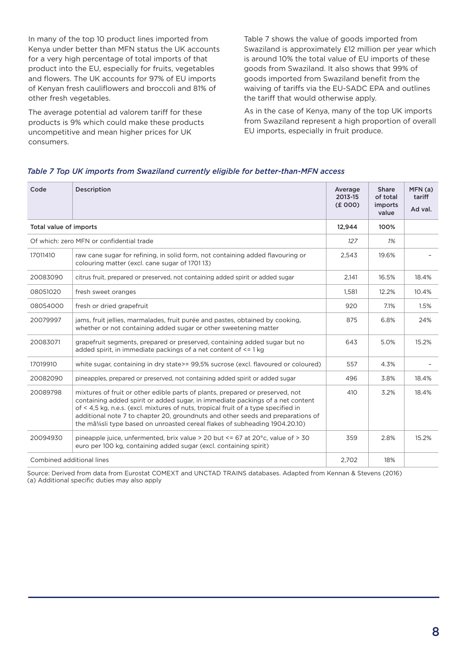In many of the top 10 product lines imported from Kenya under better than MFN status the UK accounts for a very high percentage of total imports of that product into the EU, especially for fruits, vegetables and flowers. The UK accounts for 97% of EU imports of Kenyan fresh cauliflowers and broccoli and 81% of other fresh vegetables.

The average potential ad valorem tariff for these products is 9% which could make these products uncompetitive and mean higher prices for UK consumers.

Table 7 shows the value of goods imported from Swaziland is approximately £12 million per year which is around 10% the total value of EU imports of these goods from Swaziland. It also shows that 99% of goods imported from Swaziland benefit from the waiving of tariffs via the EU-SADC EPA and outlines the tariff that would otherwise apply.

As in the case of Kenya, many of the top UK imports from Swaziland represent a high proportion of overall EU imports, especially in fruit produce.

#### *Table 7 Top UK imports from Swaziland currently eligible for better-than-MFN access*

| Code                      | Description                                                                                                                                                                                                                                                                                                                                                                                                            | Average<br>2013-15<br>(E000) | <b>Share</b><br>of total<br>imports<br>value | MFN (a)<br>tariff<br>Ad val. |
|---------------------------|------------------------------------------------------------------------------------------------------------------------------------------------------------------------------------------------------------------------------------------------------------------------------------------------------------------------------------------------------------------------------------------------------------------------|------------------------------|----------------------------------------------|------------------------------|
| Total value of imports    |                                                                                                                                                                                                                                                                                                                                                                                                                        | 12,944                       | 100%                                         |                              |
|                           | Of which: zero MFN or confidential trade                                                                                                                                                                                                                                                                                                                                                                               | 127                          | 1%                                           |                              |
| 17011410                  | raw cane sugar for refining, in solid form, not containing added flavouring or<br>colouring matter (excl. cane sugar of 170113)                                                                                                                                                                                                                                                                                        | 2,543                        | 19.6%                                        |                              |
| 20083090                  | citrus fruit, prepared or preserved, not containing added spirit or added sugar                                                                                                                                                                                                                                                                                                                                        | 2,141                        | 16.5%                                        | 18.4%                        |
| 08051020                  | fresh sweet oranges                                                                                                                                                                                                                                                                                                                                                                                                    | 1,581                        | 12.2%                                        | 10.4%                        |
| 08054000                  | fresh or dried grapefruit                                                                                                                                                                                                                                                                                                                                                                                              | 920                          | 7.1%                                         | 1.5%                         |
| 20079997                  | jams, fruit jellies, marmalades, fruit purée and pastes, obtained by cooking,<br>whether or not containing added sugar or other sweetening matter                                                                                                                                                                                                                                                                      | 875                          | 6.8%                                         | 24%                          |
| 20083071                  | grapefruit segments, prepared or preserved, containing added sugar but no<br>added spirit, in immediate packings of a net content of <= 1 kg                                                                                                                                                                                                                                                                           | 643                          | 5.0%                                         | 15.2%                        |
| 17019910                  | white sugar, containing in dry state>= 99,5% sucrose (excl. flavoured or coloured)                                                                                                                                                                                                                                                                                                                                     | 557                          | 4.3%                                         |                              |
| 20082090                  | pineapples, prepared or preserved, not containing added spirit or added sugar                                                                                                                                                                                                                                                                                                                                          | 496                          | 3.8%                                         | 18.4%                        |
| 20089798                  | mixtures of fruit or other edible parts of plants, prepared or preserved, not<br>containing added spirit or added sugar, in immediate packings of a net content<br>of < 4,5 kg, n.e.s. (excl. mixtures of nuts, tropical fruit of a type specified in<br>additional note 7 to chapter 20, groundnuts and other seeds and preparations of<br>the mã¼sli type based on unroasted cereal flakes of subheading 1904.20.10) | 410                          | 3.2%                                         | 18.4%                        |
| 20094930                  | pineapple juice, unfermented, brix value > 20 but $\le$ = 67 at 20 $\degree$ c, value of > 30<br>euro per 100 kg, containing added sugar (excl. containing spirit)                                                                                                                                                                                                                                                     | 359                          | 2.8%                                         | 15.2%                        |
| Combined additional lines |                                                                                                                                                                                                                                                                                                                                                                                                                        | 2,702                        | 18%                                          |                              |

Source: Derived from data from Eurostat COMEXT and UNCTAD TRAINS databases. Adapted from Kennan & Stevens (2016) (a) Additional specific duties may also apply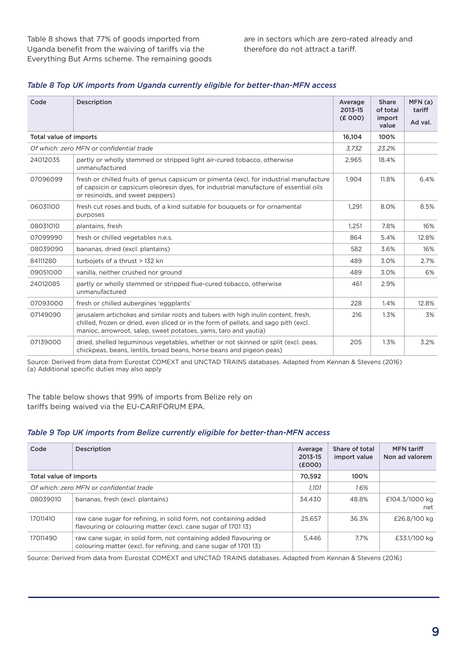| Code                   | Description                                                                                                                                                                                                                                     | Average<br>2013-15<br>(E000) | <b>Share</b><br>of total<br>import<br>value | MFN(a)<br>tariff<br>Ad val. |
|------------------------|-------------------------------------------------------------------------------------------------------------------------------------------------------------------------------------------------------------------------------------------------|------------------------------|---------------------------------------------|-----------------------------|
| Total value of imports |                                                                                                                                                                                                                                                 | 16,104                       | 100%                                        |                             |
|                        | Of which: zero MFN or confidential trade                                                                                                                                                                                                        | 3,732                        | 23.2%                                       |                             |
| 24012035               | partly or wholly stemmed or stripped light air-cured tobacco, otherwise<br>unmanufactured                                                                                                                                                       | 2,965                        | 18.4%                                       |                             |
| 07096099               | fresh or chilled fruits of genus capsicum or pimenta (excl. for industrial manufacture<br>of capsicin or capsicum oleoresin dyes, for industrial manufacture of essential oils<br>or resinoids, and sweet peppers)                              | 1,904                        | 11.8%                                       | 6.4%                        |
| 06031100               | fresh cut roses and buds, of a kind suitable for bouquets or for ornamental<br>purposes                                                                                                                                                         | 1.291                        | 8.0%                                        | 8.5%                        |
| 08031010               | plantains, fresh                                                                                                                                                                                                                                | 1,251                        | 7.8%                                        | 16%                         |
| 07099990               | fresh or chilled vegetables n.e.s.                                                                                                                                                                                                              | 864                          | 5.4%                                        | 12.8%                       |
| 08039090               | bananas, dried (excl. plantains)                                                                                                                                                                                                                | 582                          | 3.6%                                        | 16%                         |
| 84111280               | turbojets of a thrust > 132 kn                                                                                                                                                                                                                  | 489                          | 3.0%                                        | 2.7%                        |
| 09051000               | vanilla, neither crushed nor ground                                                                                                                                                                                                             | 489                          | 3.0%                                        | 6%                          |
| 24012085               | partly or wholly stemmed or stripped flue-cured tobacco, otherwise<br>unmanufactured                                                                                                                                                            | 461                          | 2.9%                                        |                             |
| 07093000               | fresh or chilled aubergines 'eggplants'                                                                                                                                                                                                         | 228                          | 1.4%                                        | 12.8%                       |
| 07149090               | jerusalem artichokes and similar roots and tubers with high inulin content, fresh,<br>chilled, frozen or dried, even sliced or in the form of pellets, and sago pith (excl.<br>manioc, arrowroot, salep, sweet potatoes, yams, taro and yautia) | 216                          | 1.3%                                        | 3%                          |
| 07139000               | dried, shelled leguminous vegetables, whether or not skinned or split (excl. peas,<br>chickpeas, beans, lentils, broad beans, horse beans and pigeon peas)                                                                                      | 205                          | 1.3%                                        | 3.2%                        |

#### *Table 8 Top UK imports from Uganda currently eligible for better-than-MFN access*

Source: Derived from data from Eurostat COMEXT and UNCTAD TRAINS databases. Adapted from Kennan & Stevens (2016) (a) Additional specific duties may also apply

The table below shows that 99% of imports from Belize rely on tariffs being waived via the EU-CARIFORUM EPA.

#### *Table 9 Top UK imports from Belize currently eligible for better-than-MFN access*

| Code                   | Description                                                                                                                          | Average<br>2013-15<br>(E000) | Share of total<br>import value | <b>MFN</b> tariff<br>Non ad valorem |
|------------------------|--------------------------------------------------------------------------------------------------------------------------------------|------------------------------|--------------------------------|-------------------------------------|
| Total value of imports |                                                                                                                                      | 70,592                       | 100%                           |                                     |
|                        | Of which: zero MFN or confidential trade                                                                                             | 1.101                        | 1.6%                           |                                     |
| 08039010               | bananas, fresh (excl. plantains)                                                                                                     | 34.430                       | 48.8%                          | £104.3/1000 kg<br>net               |
| 17011410               | raw cane sugar for refining, in solid form, not containing added<br>flavouring or colouring matter (excl. cane sugar of 170113)      | 25.657                       | 36.3%                          | £26.8/100 kg                        |
| 17011490               | raw cane sugar, in solid form, not containing added flavouring or<br>colouring matter (excl. for refining, and cane sugar of 170113) | 5.446                        | 7.7%                           | £33.1/100 kg                        |

Source: Derived from data from Eurostat COMEXT and UNCTAD TRAINS databases. Adapted from Kennan & Stevens (2016)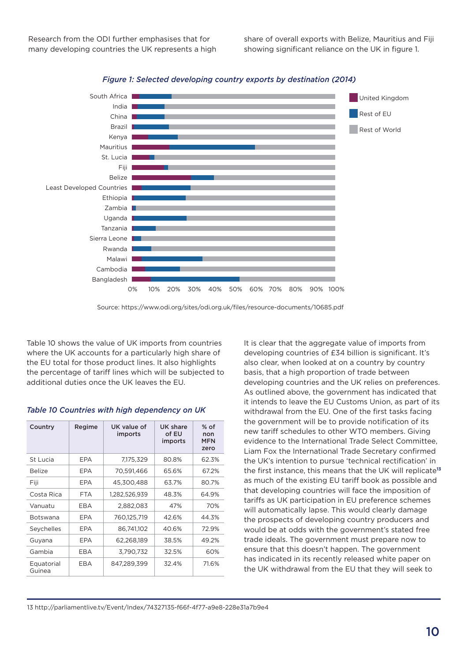



Source: https://www.odi.org/sites/odi.org.uk/files/resource-documents/10685.pdf

Table 10 shows the value of UK imports from countries where the UK accounts for a particularly high share of the EU total for those product lines. It also highlights the percentage of tariff lines which will be subjected to additional duties once the UK leaves the EU.

| Country              | Regime     | UK value of<br>imports | UK share<br>of EU<br>imports | $%$ of<br>non<br><b>MFN</b><br>zero |
|----------------------|------------|------------------------|------------------------------|-------------------------------------|
| St Lucia             | EPA        | 7,175,329              | 80.8%                        | 62.3%                               |
| <b>Belize</b>        | EPA        | 70,591,466             | 65.6%                        | 67.2%                               |
| Fiji                 | EPA        | 45,300,488             | 63.7%                        | 80.7%                               |
| Costa Rica           | <b>FTA</b> | 1,282,526,939          | 48.3%                        | 64.9%                               |
| Vanuatu              | EBA        | 2,882,083              | 47%                          | 70%                                 |
| Botswana             | EPA        | 760,125,719            | 42.6%                        | 44.3%                               |
| Seychelles           | EPA        | 86,741,102             | 40.6%                        | 72.9%                               |
| Guyana               | EPA        | 62,268,189             | 38.5%                        | 49.2%                               |
| Gambia               | EBA        | 3,790,732              | 32.5%                        | 60%                                 |
| Equatorial<br>Guinea | EBA        | 847,289,399            | 32.4%                        | 71.6%                               |

It is clear that the aggregate value of imports from developing countries of £34 billion is significant. It's also clear, when looked at on a country by country basis, that a high proportion of trade between developing countries and the UK relies on preferences. As outlined above, the government has indicated that it intends to leave the EU Customs Union, as part of its withdrawal from the EU. One of the first tasks facing the government will be to provide notification of its new tariff schedules to other WTO members. Giving evidence to the International Trade Select Committee, Liam Fox the International Trade Secretary confirmed the UK's intention to pursue 'technical rectification' in the first instance, this means that the UK will replicate**<sup>13</sup>** as much of the existing EU tariff book as possible and that developing countries will face the imposition of tariffs as UK participation in EU preference schemes will automatically lapse. This would clearly damage the prospects of developing country producers and would be at odds with the government's stated free trade ideals. The government must prepare now to ensure that this doesn't happen. The government has indicated in its recently released white paper on the UK withdrawal from the EU that they will seek to

13 http://parliamentlive.tv/Event/Index/74327135-f66f-4f77-a9e8-228e31a7b9e4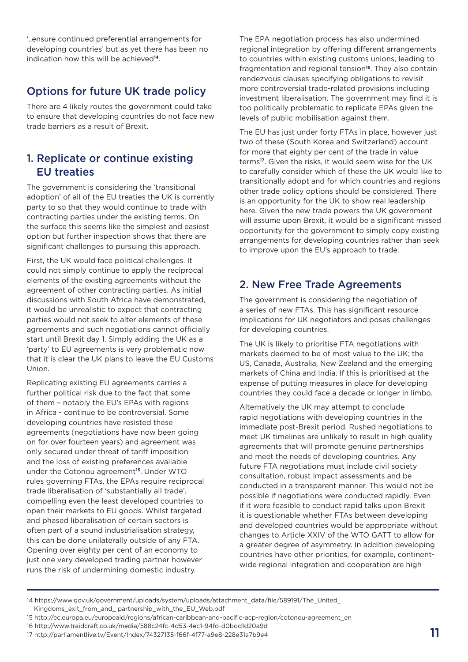'..ensure continued preferential arrangements for developing countries' but as yet there has been no indication how this will be achieved**14**.

# Options for future UK trade policy

There are 4 likely routes the government could take to ensure that developing countries do not face new trade barriers as a result of Brexit.

# 1. Replicate or continue existing EU treaties

The government is considering the 'transitional adoption' of all of the EU treaties the UK is currently party to so that they would continue to trade with contracting parties under the existing terms. On the surface this seems like the simplest and easiest option but further inspection shows that there are significant challenges to pursuing this approach.

First, the UK would face political challenges. It could not simply continue to apply the reciprocal elements of the existing agreements without the agreement of other contracting parties. As initial discussions with South Africa have demonstrated, it would be unrealistic to expect that contracting parties would not seek to alter elements of these agreements and such negotiations cannot officially start until Brexit day 1. Simply adding the UK as a 'party' to EU agreements is very problematic now that it is clear the UK plans to leave the EU Customs Union.

Replicating existing EU agreements carries a further political risk due to the fact that some of them – notably the EU's EPAs with regions in Africa - continue to be controversial. Some developing countries have resisted these agreements (negotiations have now been going on for over fourteen years) and agreement was only secured under threat of tariff imposition and the loss of existing preferences available under the Cotonou agreement**15**. Under WTO rules governing FTAs, the EPAs require reciprocal trade liberalisation of 'substantially all trade', compelling even the least developed countries to open their markets to EU goods. Whilst targeted and phased liberalisation of certain sectors is often part of a sound industrialisation strategy, this can be done unilaterally outside of any FTA. Opening over eighty per cent of an economy to just one very developed trading partner however runs the risk of undermining domestic industry.

The EPA negotiation process has also undermined regional integration by offering different arrangements to countries within existing customs unions, leading to fragmentation and regional tension**16**. They also contain rendezvous clauses specifying obligations to revisit more controversial trade-related provisions including investment liberalisation. The government may find it is too politically problematic to replicate EPAs given the levels of public mobilisation against them.

The EU has just under forty FTAs in place, however just two of these (South Korea and Switzerland) account for more that eighty per cent of the trade in value terms**17**. Given the risks, it would seem wise for the UK to carefully consider which of these the UK would like to transitionally adopt and for which countries and regions other trade policy options should be considered. There is an opportunity for the UK to show real leadership here. Given the new trade powers the UK government will assume upon Brexit, it would be a significant missed opportunity for the government to simply copy existing arrangements for developing countries rather than seek to improve upon the EU's approach to trade.

# 2. New Free Trade Agreements

The government is considering the negotiation of a series of new FTAs. This has significant resource implications for UK negotiators and poses challenges for developing countries.

The UK is likely to prioritise FTA negotiations with markets deemed to be of most value to the UK; the US, Canada, Australia, New Zealand and the emerging markets of China and India. If this is prioritised at the expense of putting measures in place for developing countries they could face a decade or longer in limbo.

Alternatively the UK may attempt to conclude rapid negotiations with developing countries in the immediate post-Brexit period. Rushed negotiations to meet UK timelines are unlikely to result in high quality agreements that will promote genuine partnerships and meet the needs of developing countries. Any future FTA negotiations must include civil society consultation, robust impact assessments and be conducted in a transparent manner. This would not be possible if negotiations were conducted rapidly. Even if it were feasible to conduct rapid talks upon Brexit it is questionable whether FTAs between developing and developed countries would be appropriate without changes to Article XXIV of the WTO GATT to allow for a greater degree of asymmetry. In addition developing countries have other priorities, for example, continentwide regional integration and cooperation are high

15 http://ec.europa.eu/europeaid/regions/african-caribbean-and-pacific-acp-region/cotonou-agreement\_en

<sup>14</sup> https://www.gov.uk/government/uploads/system/uploads/attachment\_data/file/589191/The\_United\_

Kingdoms exit from and partnership with the EU Web.pdf

<sup>16</sup> http://www.traidcraft.co.uk/media/588c24fc-4d53-4ec1-94fd-d0bdd1d20a9d

 $17 \text{ http://parliamentlive.tv/Event/Index/74327135-f66f-4f77-a9e8-228e31a7b9e4}$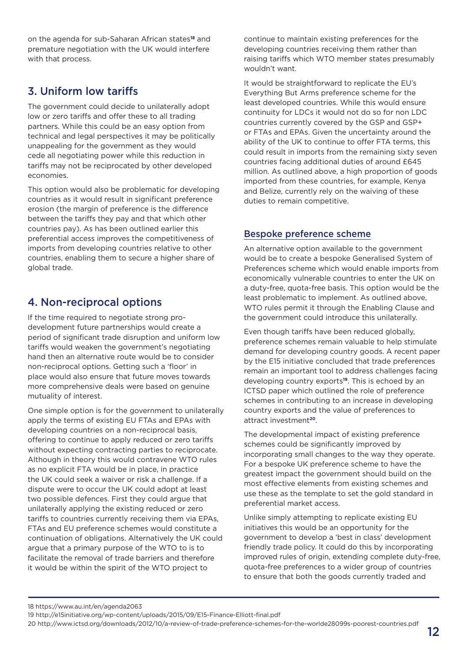on the agenda for sub-Saharan African states**18** and premature negotiation with the UK would interfere with that process.

# 3. Uniform low tariffs

The government could decide to unilaterally adopt low or zero tariffs and offer these to all trading partners. While this could be an easy option from technical and legal perspectives it may be politically unappealing for the government as they would cede all negotiating power while this reduction in tariffs may not be reciprocated by other developed economies.

This option would also be problematic for developing countries as it would result in significant preference erosion (the margin of preference is the difference between the tariffs they pay and that which other countries pay). As has been outlined earlier this preferential access improves the competitiveness of imports from developing countries relative to other countries, enabling them to secure a higher share of global trade.

# 4. Non-reciprocal options

If the time required to negotiate strong prodevelopment future partnerships would create a period of significant trade disruption and uniform low tariffs would weaken the government's negotiating hand then an alternative route would be to consider non-reciprocal options. Getting such a 'floor' in place would also ensure that future moves towards more comprehensive deals were based on genuine mutuality of interest.

One simple option is for the government to unilaterally apply the terms of existing EU FTAs and EPAs with developing countries on a non-reciprocal basis, offering to continue to apply reduced or zero tariffs without expecting contracting parties to reciprocate. Although in theory this would contravene WTO rules as no explicit FTA would be in place, in practice the UK could seek a waiver or risk a challenge. If a dispute were to occur the UK could adopt at least two possible defences. First they could argue that unilaterally applying the existing reduced or zero tariffs to countries currently receiving them via EPAs, FTAs and EU preference schemes would constitute a continuation of obligations. Alternatively the UK could argue that a primary purpose of the WTO to is to facilitate the removal of trade barriers and therefore it would be within the spirit of the WTO project to

continue to maintain existing preferences for the developing countries receiving them rather than raising tariffs which WTO member states presumably wouldn't want.

It would be straightforward to replicate the EU's Everything But Arms preference scheme for the least developed countries. While this would ensure continuity for LDCs it would not do so for non LDC countries currently covered by the GSP and GSP+ or FTAs and EPAs. Given the uncertainty around the ability of the UK to continue to offer FTA terms, this could result in imports from the remaining sixty seven countries facing additional duties of around £645 million. As outlined above, a high proportion of goods imported from these countries, for example, Kenya and Belize, currently rely on the waiving of these duties to remain competitive.

### Bespoke preference scheme

An alternative option available to the government would be to create a bespoke Generalised System of Preferences scheme which would enable imports from economically vulnerable countries to enter the UK on a duty-free, quota-free basis. This option would be the least problematic to implement. As outlined above, WTO rules permit it through the Enabling Clause and the government could introduce this unilaterally.

Even though tariffs have been reduced globally, preference schemes remain valuable to help stimulate demand for developing country goods. A recent paper by the E15 initiative concluded that trade preferences remain an important tool to address challenges facing developing country exports**19**. This is echoed by an ICTSD paper which outlined the role of preference schemes in contributing to an increase in developing country exports and the value of preferences to attract investment**20**.

The developmental impact of existing preference schemes could be significantly improved by incorporating small changes to the way they operate. For a bespoke UK preference scheme to have the greatest impact the government should build on the most effective elements from existing schemes and use these as the template to set the gold standard in preferential market access.

Unlike simply attempting to replicate existing EU initiatives this would be an opportunity for the government to develop a 'best in class' development friendly trade policy. It could do this by incorporating improved rules of origin, extending complete duty-free, quota-free preferences to a wider group of countries to ensure that both the goods currently traded and

18 https://www.au.int/en/agenda2063

19 http://e15initiative.org/wp-content/uploads/2015/09/E15-Finance-Elliott-final.pdf

20 http://www.ictsd.org/downloads/2012/10/a-review-of-trade-preference-schemes-for-the-worlde28099s-poorest-countries.pdf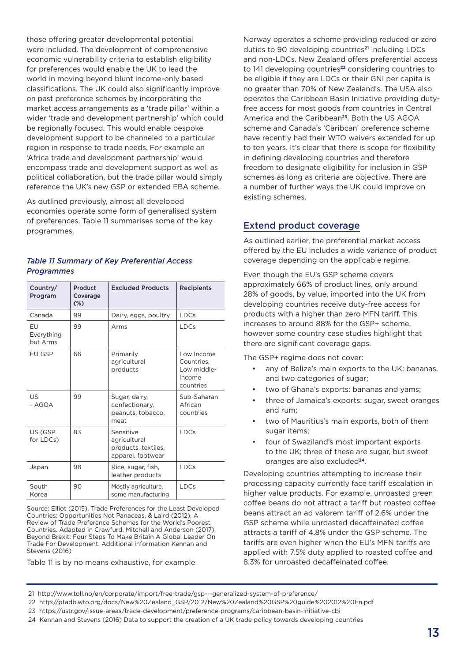those offering greater developmental potential were included. The development of comprehensive economic vulnerability criteria to establish eligibility for preferences would enable the UK to lead the world in moving beyond blunt income-only based classifications. The UK could also significantly improve on past preference schemes by incorporating the market access arrangements as a 'trade pillar' within a wider 'trade and development partnership' which could be regionally focused. This would enable bespoke development support to be channeled to a particular region in response to trade needs. For example an 'Africa trade and development partnership' would encompass trade and development support as well as political collaboration, but the trade pillar would simply reference the UK's new GSP or extended EBA scheme.

As outlined previously, almost all developed economies operate some form of generalised system of preferences. Table 11 summarises some of the key programmes.

#### *Table 11 Summary of Key Preferential Access Programmes*

| Country/<br>Program          | Product<br>Coverage<br>$(\%)$ | <b>Excluded Products</b>                                              | Recipients                                                     |
|------------------------------|-------------------------------|-----------------------------------------------------------------------|----------------------------------------------------------------|
| Canada                       | 99                            | Dairy, eggs, poultry                                                  | <b>LDCs</b>                                                    |
| EU<br>Everything<br>but Arms | 99                            | Arms                                                                  | <b>LDCs</b>                                                    |
| EU GSP                       | 66                            | Primarily<br>agricultural<br>products                                 | Low Income<br>Countries,<br>Low middle-<br>income<br>countries |
| US<br>$- AGOA$               | 99                            | Sugar, dairy,<br>confectionary.<br>peanuts, tobacco,<br>meat          | Sub-Saharan<br>African<br>countries                            |
| US (GSP<br>for LDCs)         | 83                            | Sensitive<br>agricultural<br>products, textiles,<br>apparel, footwear | <b>IDCs</b>                                                    |
| Japan                        | 98                            | Rice, sugar, fish,<br>leather products                                | <b>LDCs</b>                                                    |
| South<br>Korea               | 90                            | Mostly agriculture,<br>some manufacturing                             | <b>LDCs</b>                                                    |

Source: Elliot (2015), Trade Preferences for the Least Developed Countries: Opportunities Not Panaceas, & Laird (2012), A Review of Trade Preference Schemes for the World's Poorest Countries. Adapted in Crawfurd, Mitchell and Anderson (2017), Beyond Brexit: Four Steps To Make Britain A Global Leader On Trade For Development. Additional information Kennan and Stevens (2016)

Table 11 is by no means exhaustive, for example

Norway operates a scheme providing reduced or zero duties to 90 developing countries**21** including LDCs and non-LDCs. New Zealand offers preferential access to 141 developing countries**22** considering countries to be eligible if they are LDCs or their GNI per capita is no greater than 70% of New Zealand's. The USA also operates the Caribbean Basin Initiative providing dutyfree access for most goods from countries in Central America and the Caribbean**23**. Both the US AGOA scheme and Canada's 'Caribcan' preference scheme have recently had their WTO waivers extended for up to ten years. It's clear that there is scope for flexibility in defining developing countries and therefore freedom to designate eligibility for inclusion in GSP schemes as long as criteria are objective. There are a number of further ways the UK could improve on existing schemes.

### Extend product coverage

As outlined earlier, the preferential market access offered by the EU includes a wide variance of product coverage depending on the applicable regime.

Even though the EU's GSP scheme covers approximately 66% of product lines, only around 28% of goods, by value, imported into the UK from developing countries receive duty-free access for products with a higher than zero MFN tariff. This increases to around 88% for the GSP+ scheme, however some country case studies highlight that there are significant coverage gaps.

The GSP+ regime does not cover:

- any of Belize's main exports to the UK: bananas, and two categories of sugar;
- two of Ghana's exports: bananas and yams;
- three of Jamaica's exports: sugar, sweet oranges and rum;
- two of Mauritius's main exports, both of them sugar items;
- four of Swaziland's most important exports to the UK; three of these are sugar, but sweet oranges are also excluded**24**.

Developing countries attempting to increase their processing capacity currently face tariff escalation in higher value products. For example, unroasted green coffee beans do not attract a tariff but roasted coffee beans attract an ad valorem tariff of 2.6% under the GSP scheme while unroasted decaffeinated coffee attracts a tariff of 4.8% under the GSP scheme. The tariffs are even higher when the EU's MFN tariffs are applied with 7.5% duty applied to roasted coffee and 8.3% for unroasted decaffeinated coffee.

<sup>21</sup> http://www.toll.no/en/corporate/import/free-trade/gsp---generalized-system-of-preference/

<sup>22</sup> http://ptadb.wto.org/docs/New%20Zealand\_GSP/2012/New%20Zealand%20GSP%20guide%202012%20En.pdf

<sup>23</sup> https://ustr.gov/issue-areas/trade-development/preference-programs/caribbean-basin-initiative-cbi

<sup>24</sup> Kennan and Stevens (2016) Data to support the creation of a UK trade policy towards developing countries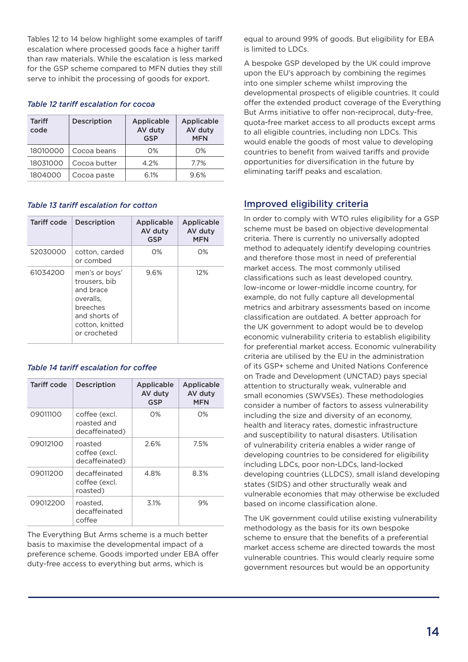Tables 12 to 14 below highlight some examples of tariff escalation where processed goods face a higher tariff than raw materials. While the escalation is less marked for the GSP scheme compared to MFN duties they still serve to inhibit the processing of goods for export.

#### *Table 12 tariff escalation for cocoa*

| <b>Tariff</b><br>code | <b>Description</b> | Applicable<br>AV duty<br><b>GSP</b> | Applicable<br>AV duty<br><b>MFN</b> |
|-----------------------|--------------------|-------------------------------------|-------------------------------------|
| 18010000              | Cocoa beans        | $O\%$                               | O%                                  |
| 18031000              | Cocoa butter       | 4.2%                                | 7.7%                                |
| 1804000               | Cocoa paste        | 6.1%                                | 9.6%                                |

### *Table 13 tariff escalation for cotton*

| Tariff code | <b>Description</b>                                                                                                        | Applicable<br>AV duty<br><b>GSP</b> | Applicable<br>AV duty<br><b>MFN</b> |
|-------------|---------------------------------------------------------------------------------------------------------------------------|-------------------------------------|-------------------------------------|
| 52030000    | cotton, carded<br>or combed                                                                                               | $O\%$                               | $O\%$                               |
| 61034200    | men's or boys'<br>trousers, bib<br>and brace<br>overalls.<br>breeches<br>and shorts of<br>cotton, knitted<br>or crocheted | 9.6%                                | 12%                                 |

### *Table 14 tariff escalation for coffee*

| Tariff code | <b>Description</b>                             | Applicable<br>AV duty<br>GSP | Applicable<br>AV duty<br>MFN |
|-------------|------------------------------------------------|------------------------------|------------------------------|
| 09011100    | coffee (excl.<br>roasted and<br>decaffeinated) | $O\%$                        | O%                           |
| 09012100    | roasted<br>coffee (excl.<br>decaffeinated)     | 2.6%                         | 7.5%                         |
| 09011200    | decaffeinated<br>coffee (excl.<br>roasted)     | 4.8%                         | 8.3%                         |
| 09012200    | roasted,<br>decaffeinated<br>coffee            | 3.1%                         | 9%                           |

The Everything But Arms scheme is a much better basis to maximise the developmental impact of a preference scheme. Goods imported under EBA offer duty-free access to everything but arms, which is

equal to around 99% of goods. But eligibility for EBA is limited to LDCs.

A bespoke GSP developed by the UK could improve upon the EU's approach by combining the regimes into one simpler scheme whilst improving the developmental prospects of eligible countries. It could offer the extended product coverage of the Everything But Arms initiative to offer non-reciprocal, duty-free, quota-free market access to all products except arms to all eligible countries, including non LDCs. This would enable the goods of most value to developing countries to benefit from waived tariffs and provide opportunities for diversification in the future by eliminating tariff peaks and escalation.

### Improved eligibility criteria

In order to comply with WTO rules eligibility for a GSP scheme must be based on objective developmental criteria. There is currently no universally adopted method to adequately identify developing countries and therefore those most in need of preferential market access. The most commonly utilised classifications such as least developed country, low-income or lower-middle income country, for example, do not fully capture all developmental metrics and arbitrary assessments based on income classification are outdated. A better approach for the UK government to adopt would be to develop economic vulnerability criteria to establish eligibility for preferential market access. Economic vulnerability criteria are utilised by the EU in the administration of its GSP+ scheme and United Nations Conference on Trade and Development (UNCTAD) pays special attention to structurally weak, vulnerable and small economies (SWVSEs). These methodologies consider a number of factors to assess vulnerability including the size and diversity of an economy, health and literacy rates, domestic infrastructure and susceptibility to natural disasters. Utilisation of vulnerability criteria enables a wider range of developing countries to be considered for eligibility including LDCs, poor non-LDCs, land-locked developing countries (LLDCS), small island developing states (SIDS) and other structurally weak and vulnerable economies that may otherwise be excluded based on income classification alone.

The UK government could utilise existing vulnerability methodology as the basis for its own bespoke scheme to ensure that the benefits of a preferential market access scheme are directed towards the most vulnerable countries. This would clearly require some government resources but would be an opportunity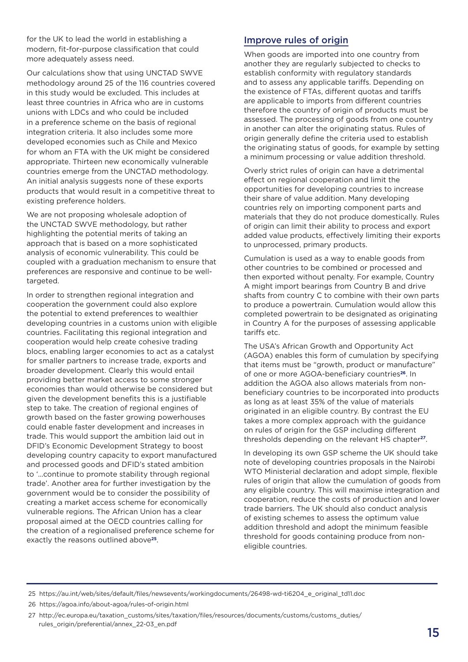for the UK to lead the world in establishing a modern, fit-for-purpose classification that could more adequately assess need.

Our calculations show that using UNCTAD SWVE methodology around 25 of the 116 countries covered in this study would be excluded. This includes at least three countries in Africa who are in customs unions with LDCs and who could be included in a preference scheme on the basis of regional integration criteria. It also includes some more developed economies such as Chile and Mexico for whom an FTA with the UK might be considered appropriate. Thirteen new economically vulnerable countries emerge from the UNCTAD methodology. An initial analysis suggests none of these exports products that would result in a competitive threat to existing preference holders.

We are not proposing wholesale adoption of the UNCTAD SWVE methodology, but rather highlighting the potential merits of taking an approach that is based on a more sophisticated analysis of economic vulnerability. This could be coupled with a graduation mechanism to ensure that preferences are responsive and continue to be welltargeted.

In order to strengthen regional integration and cooperation the government could also explore the potential to extend preferences to wealthier developing countries in a customs union with eligible countries. Facilitating this regional integration and cooperation would help create cohesive trading blocs, enabling larger economies to act as a catalyst for smaller partners to increase trade, exports and broader development. Clearly this would entail providing better market access to some stronger economies than would otherwise be considered but given the development benefits this is a justifiable step to take. The creation of regional engines of growth based on the faster growing powerhouses could enable faster development and increases in trade. This would support the ambition laid out in DFID's Economic Development Strategy to boost developing country capacity to export manufactured and processed goods and DFID's stated ambition to '...continue to promote stability through regional trade'. Another area for further investigation by the government would be to consider the possibility of creating a market access scheme for economically vulnerable regions. The African Union has a clear proposal aimed at the OECD countries calling for the creation of a regionalised preference scheme for exactly the reasons outlined above**25**.

### Improve rules of origin

When goods are imported into one country from another they are regularly subjected to checks to establish conformity with regulatory standards and to assess any applicable tariffs. Depending on the existence of FTAs, different quotas and tariffs are applicable to imports from different countries therefore the country of origin of products must be assessed. The processing of goods from one country in another can alter the originating status. Rules of origin generally define the criteria used to establish the originating status of goods, for example by setting a minimum processing or value addition threshold.

Overly strict rules of origin can have a detrimental effect on regional cooperation and limit the opportunities for developing countries to increase their share of value addition. Many developing countries rely on importing component parts and materials that they do not produce domestically. Rules of origin can limit their ability to process and export added value products, effectively limiting their exports to unprocessed, primary products.

Cumulation is used as a way to enable goods from other countries to be combined or processed and then exported without penalty. For example, Country A might import bearings from Country B and drive shafts from country C to combine with their own parts to produce a powertrain. Cumulation would allow this completed powertrain to be designated as originating in Country A for the purposes of assessing applicable tariffs etc.

The USA's African Growth and Opportunity Act (AGOA) enables this form of cumulation by specifying that items must be "growth, product or manufacture" of one or more AGOA-beneficiary countries**26**. In addition the AGOA also allows materials from nonbeneficiary countries to be incorporated into products as long as at least 35% of the value of materials originated in an eligible country. By contrast the EU takes a more complex approach with the guidance on rules of origin for the GSP including different thresholds depending on the relevant HS chapter**27**.

In developing its own GSP scheme the UK should take note of developing countries proposals in the Nairobi WTO Ministerial declaration and adopt simple, flexible rules of origin that allow the cumulation of goods from any eligible country. This will maximise integration and cooperation, reduce the costs of production and lower trade barriers. The UK should also conduct analysis of existing schemes to assess the optimum value addition threshold and adopt the minimum feasible threshold for goods containing produce from noneligible countries.

<sup>25</sup> https://au.int/web/sites/default/files/newsevents/workingdocuments/26498-wd-ti6204\_e\_original\_td11.doc

<sup>26</sup> https://agoa.info/about-agoa/rules-of-origin.html

<sup>27</sup> http://ec.europa.eu/taxation\_customs/sites/taxation/files/resources/documents/customs/customs\_duties/ rules\_origin/preferential/annex\_22-03\_en.pdf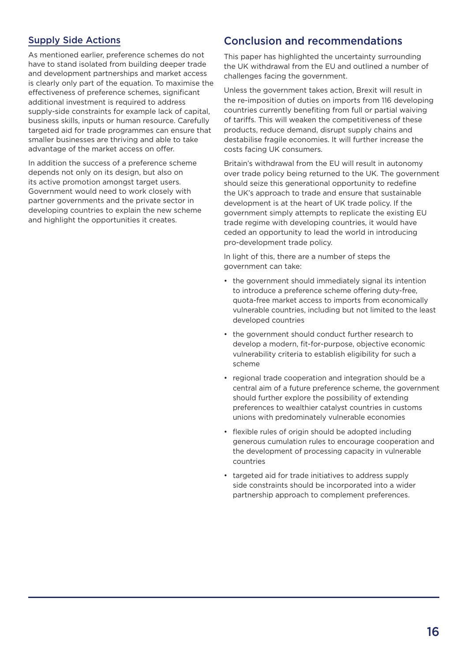### Supply Side Actions

As mentioned earlier, preference schemes do not have to stand isolated from building deeper trade and development partnerships and market access is clearly only part of the equation. To maximise the effectiveness of preference schemes, significant additional investment is required to address supply-side constraints for example lack of capital, business skills, inputs or human resource. Carefully targeted aid for trade programmes can ensure that smaller businesses are thriving and able to take advantage of the market access on offer.

In addition the success of a preference scheme depends not only on its design, but also on its active promotion amongst target users. Government would need to work closely with partner governments and the private sector in developing countries to explain the new scheme and highlight the opportunities it creates.

### Conclusion and recommendations

This paper has highlighted the uncertainty surrounding the UK withdrawal from the EU and outlined a number of challenges facing the government.

Unless the government takes action, Brexit will result in the re-imposition of duties on imports from 116 developing countries currently benefiting from full or partial waiving of tariffs. This will weaken the competitiveness of these products, reduce demand, disrupt supply chains and destabilise fragile economies. It will further increase the costs facing UK consumers.

Britain's withdrawal from the EU will result in autonomy over trade policy being returned to the UK. The government should seize this generational opportunity to redefine the UK's approach to trade and ensure that sustainable development is at the heart of UK trade policy. If the government simply attempts to replicate the existing EU trade regime with developing countries, it would have ceded an opportunity to lead the world in introducing pro-development trade policy.

In light of this, there are a number of steps the government can take:

- the government should immediately signal its intention to introduce a preference scheme offering duty-free, quota-free market access to imports from economically vulnerable countries, including but not limited to the least developed countries
- the government should conduct further research to develop a modern, fit-for-purpose, objective economic vulnerability criteria to establish eligibility for such a scheme
- regional trade cooperation and integration should be a central aim of a future preference scheme, the government should further explore the possibility of extending preferences to wealthier catalyst countries in customs unions with predominately vulnerable economies
- flexible rules of origin should be adopted including generous cumulation rules to encourage cooperation and the development of processing capacity in vulnerable countries
- targeted aid for trade initiatives to address supply side constraints should be incorporated into a wider partnership approach to complement preferences.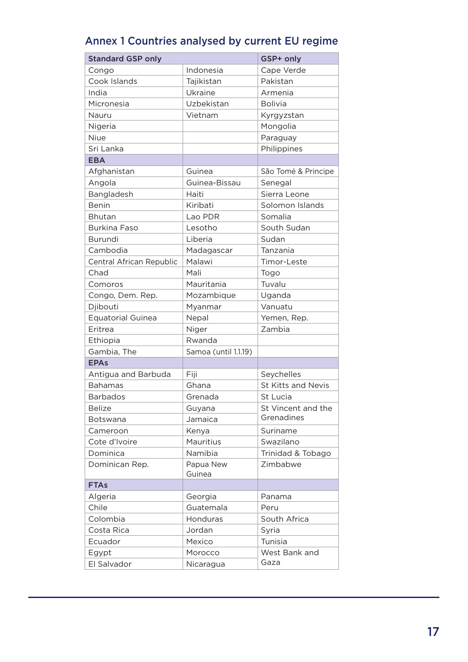| <b>Standard GSP only</b> |                      | GSP+ only                 |
|--------------------------|----------------------|---------------------------|
| Congo                    | Indonesia            | Cape Verde                |
| Cook Islands             | Tajikistan           | Pakistan                  |
| India                    | Ukraine              | Armenia                   |
| Micronesia               | Uzbekistan           | <b>Bolivia</b>            |
| Nauru                    | Vietnam              | Kyrgyzstan                |
| Nigeria                  |                      | Mongolia                  |
| Niue                     |                      | Paraguay                  |
| Sri Lanka                |                      | Philippines               |
| <b>EBA</b>               |                      |                           |
| Afghanistan              | Guinea               | São Tomé & Principe       |
| Angola                   | Guinea-Bissau        | Senegal                   |
| Bangladesh               | Haiti                | Sierra Leone              |
| <b>Benin</b>             | Kiribati             | Solomon Islands           |
| <b>Bhutan</b>            | Lao PDR              | Somalia                   |
| Burkina Faso             | Lesotho              | South Sudan               |
| Burundi                  | Liberia              | Sudan                     |
| Cambodia                 | Madagascar           | Tanzania                  |
| Central African Republic | Malawi               | Timor-Leste               |
| Chad                     | Mali                 | Togo                      |
| Comoros                  | Mauritania           | Tuvalu                    |
| Congo, Dem. Rep.         | Mozambique           | Uganda                    |
| Djibouti                 | Myanmar              | Vanuatu                   |
| <b>Equatorial Guinea</b> | Nepal                | Yemen, Rep.               |
| Eritrea                  | Niger                | Zambia                    |
| Ethiopia                 | Rwanda               |                           |
| Gambia, The              | Samoa (until 1.1.19) |                           |
| <b>EPAs</b>              |                      |                           |
| Antigua and Barbuda      | Fiji                 | Seychelles                |
| <b>Bahamas</b>           | Ghana                | <b>St Kitts and Nevis</b> |
| <b>Barbados</b>          | Grenada              | St Lucia                  |
| <b>Belize</b>            | Guyana               | St Vincent and the        |
| <b>Botswana</b>          | Jamaica              | Grenadines                |
| Cameroon                 | Kenya                | Suriname                  |
| Cote d'Ivoire            | <b>Mauritius</b>     | Swazilano                 |
| Dominica                 | Namibia              | Trinidad & Tobago         |
| Dominican Rep.           | Papua New            | Zimbabwe                  |
|                          | Guinea               |                           |
| <b>FTAs</b>              |                      |                           |
| Algeria                  | Georgia              | Panama                    |
| Chile                    | Guatemala            | Peru                      |
| Colombia                 | Honduras             | South Africa              |
| Costa Rica               | Jordan               | Syria                     |
| Ecuador                  | Mexico               | Tunisia                   |
| Egypt                    | Morocco              | West Bank and             |
| El Salvador              | Nicaragua            | Gaza                      |

# Annex 1 Countries analysed by current EU regime